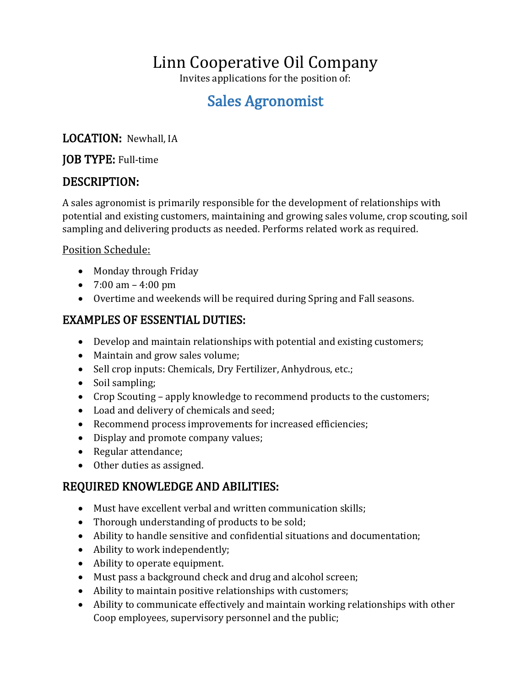# Linn Cooperative Oil Company

Invites applications for the position of:

## Sales Agronomist

### LOCATION: Newhall, IA

#### JOB TYPE: Full-time

## DESCRIPTION:

A sales agronomist is primarily responsible for the development of relationships with potential and existing customers, maintaining and growing sales volume, crop scouting, soil sampling and delivering products as needed. Performs related work as required.

#### Position Schedule:

- Monday through Friday
- 7:00 am 4:00 pm
- Overtime and weekends will be required during Spring and Fall seasons.

## EXAMPLES OF ESSENTIAL DUTIES:

- Develop and maintain relationships with potential and existing customers;
- Maintain and grow sales volume;
- Sell crop inputs: Chemicals, Dry Fertilizer, Anhydrous, etc.;
- Soil sampling;
- Crop Scouting apply knowledge to recommend products to the customers;
- Load and delivery of chemicals and seed;
- Recommend process improvements for increased efficiencies;
- Display and promote company values;
- Regular attendance;
- Other duties as assigned.

## REQUIRED KNOWLEDGE AND ABILITIES:

- Must have excellent verbal and written communication skills;
- Thorough understanding of products to be sold;
- Ability to handle sensitive and confidential situations and documentation;
- Ability to work independently;
- Ability to operate equipment.
- Must pass a background check and drug and alcohol screen;
- Ability to maintain positive relationships with customers;
- Ability to communicate effectively and maintain working relationships with other Coop employees, supervisory personnel and the public;